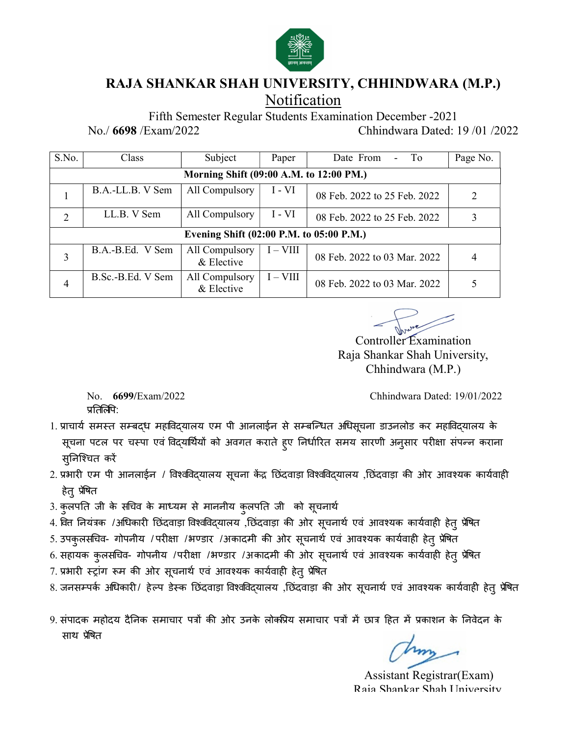

### RAJA SHANKAR SHAH UNIVERSITY, CHHINDWARA (M.P.) Notification

Fifth Semester Regular Students Examination December -2021

No./ 6698 /Exam/2022 Chhindwara Dated: 19 /01 /2022

| S.No.          | Class                                                       | Subject                                 | Paper    | Date From<br>To<br>$\sim$                                                                                                                                                                                     | Page No.       |  |
|----------------|-------------------------------------------------------------|-----------------------------------------|----------|---------------------------------------------------------------------------------------------------------------------------------------------------------------------------------------------------------------|----------------|--|
|                |                                                             | Morning Shift (09:00 A.M. to 12:00 PM.) |          |                                                                                                                                                                                                               |                |  |
|                | B.A.-LL.B. V Sem                                            | All Compulsory                          | $I - VI$ | 08 Feb. 2022 to 25 Feb. 2022                                                                                                                                                                                  | $\overline{2}$ |  |
| 2              | LL.B. V Sem                                                 | All Compulsory                          | $I - VI$ | 08 Feb. 2022 to 25 Feb. 2022                                                                                                                                                                                  | $\overline{3}$ |  |
|                | Evening Shift (02:00 P.M. to 05:00 P.M.)                    |                                         |          |                                                                                                                                                                                                               |                |  |
| $\overline{3}$ | B.A.-B.Ed. V Sem                                            | All Compulsory<br>& Elective            | $I-VIII$ | 08 Feb. 2022 to 03 Mar. 2022                                                                                                                                                                                  | 4              |  |
| $\overline{4}$ | B.Sc.-B.Ed. V Sem                                           | All Compulsory<br>& Elective            | $I-VIII$ | 08 Feb. 2022 to 03 Mar. 2022                                                                                                                                                                                  | 5              |  |
|                |                                                             |                                         |          | Controller Examination<br>Raja Shankar Shah University,<br>Chhindwara (M.P.)                                                                                                                                  |                |  |
|                | 6699/Exam/2022<br>No.<br>प्रतिर्लिपि:                       |                                         |          | Chhindwara Dated: 19/01/2022                                                                                                                                                                                  |                |  |
|                | सुनिश्चित करें                                              |                                         |          | 1. प्राचार्य समस्त सम्बद्ध महाविद्यालय एम पी आनलाईन से सम्बन्धित अधिसूचना डाउनलोड कर महाविद्यालय के<br>सूचना पटल पर चस्पा एवं विद्यार्थियों को अवगत कराते हूए निर्धारित समय सारणी अनुसार परीक्षा संपन्न कराना |                |  |
| हेतु प्रेषित   |                                                             |                                         |          | 2. प्रभारी एम पी आनलाईन / विश्वविद्यालय सूचना केंद्र छिंदवाड़ा विश्वविद्यालय ,छिंदवाड़ा की ओर आवश्यक कार्यवाही                                                                                                |                |  |
|                | 3 कलपति जी के सचिव के माध्यम से माननीय कलपति जी  को सचनार्थ |                                         |          |                                                                                                                                                                                                               |                |  |

Controller Examination Raja Shankar Shah University, Chhindwara (M.P.)

- सूचना पटल पर चस्पा एवं विद्यार्थियों को अवगत कराते हुए निर्धारित समय सारणी अनुसार परीक्षा संपन्न कराना स्**निश्चित करें** 3. The S.C.-B.Ed. V Sem All Compulsory  $\begin{array}{|l|}\n\hline\n\text{a} & \text{Ehective} \\
\hline\n\text{b} & \text{S.6--B.} \text{E.6. V Sem} & \text{All Computsory} \\
\hline\n\text{a} & \text{Ehective} \\
\hline\n\text{b} & \text{A.10--C} \\
\hline\n\text{c} & \text{A.10--C} \\
\hline\n\text{d} & \text{A.10--C} \\
\hline\n\text{d} & \text{B.10--C} \\
\hline\n\text{$ 3. कुलपǓत जी के सͬचव के माÚयम से माननीय कुलपǓत जी को सूचनाथ[ 4. ͪवƣ Ǔनयंğक /अͬधकारȣ Ǔछंदवाड़ा ͪवæवͪवɮयालय ,Ǔछंदवाड़ा कȧ ओर सूचनाथ[ एवं आवæयक कायवाह [ <sup>ȣ</sup> हेतुĤͪेषत Souther Fxamination<br>5. Souther Fxamination<br>5. Souther Fxamination<br>1. प्रवासी समस्तदस्य महाविद्यालय एम भी आनलाईन से सम्बन्धित अधिसूचना डाउनलोड कर महाविद्यालय के<br>1. प्रवासी समस्तदस्य महाविद्यालय एम भी आनलाईन से सम्बन्धित अ 9. संपादक सम्बद्ध महोदिदयालय एम भी आनलाईन से सम्बन्धित अधिसूचना डाउनलोड कर महोदिदयालय के प्रतिस्थित:<br>1. प्राचार्य समस्त सम्बद्ध महोदयाधियों को अवगत कराते हुए निर्धारित समय सारणी अनुसार परीक्षा संपत्न्न कराना<br>4. सुनपति पट
- हेत् प्रेषित
- 
- 
- 
- 6. सहायक कुलसचिव- गोपनीय /परीक्षा /भण्डार /अकादमी की ओर सूचनार्थ एवं आवश्यक कार्यवाही हेतु प्रेषित
- 7. प्रभारी स्ट्रांग रूम की ओर सूचनार्थ एवं आवश्यक कार्यवाही हेतु प्रेषित
- 8. जनसम्पर्क अधिकारी/ हेल्प डेस्क छिंदवाड़ा विश्वविद्यालय ,छिंदवाड़ा की ओर सूचनार्थ एवं आवश्यक कार्यवाही हेत् प्रेषित

साथ प्रेषित

Assistant Registrar(Exam) Raja Shankar Shah University,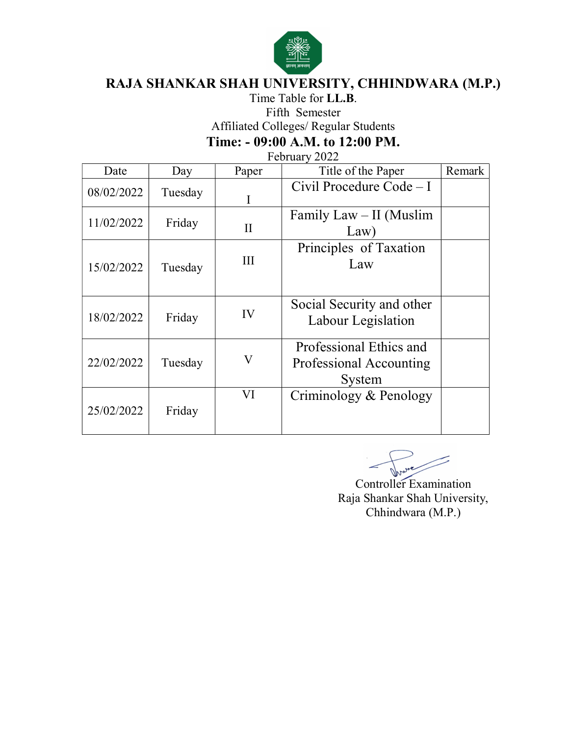

# Time Table for LL.B. Fifth Semester Affiliated Colleges/ Regular Students Time: - 09:00 A.M. to 12:00 PM.

| Date       | Day     | Paper        | Title of the Paper                                           | Remark |
|------------|---------|--------------|--------------------------------------------------------------|--------|
| 08/02/2022 | Tuesday | I            | Civil Procedure Code - I                                     |        |
| 11/02/2022 | Friday  | $\mathbf{I}$ | Family Law – II (Muslim<br>Law)                              |        |
| 15/02/2022 | Tuesday | III          | Principles of Taxation<br>Law                                |        |
| 18/02/2022 | Friday  | IV           | Social Security and other<br>Labour Legislation              |        |
| 22/02/2022 | Tuesday | $\mathbf{V}$ | Professional Ethics and<br>Professional Accounting<br>System |        |
| 25/02/2022 | Friday  | VI           | Criminology & Penology                                       |        |

Inve

Controller Examination Raja Shankar Shah University, Chhindwara (M.P.)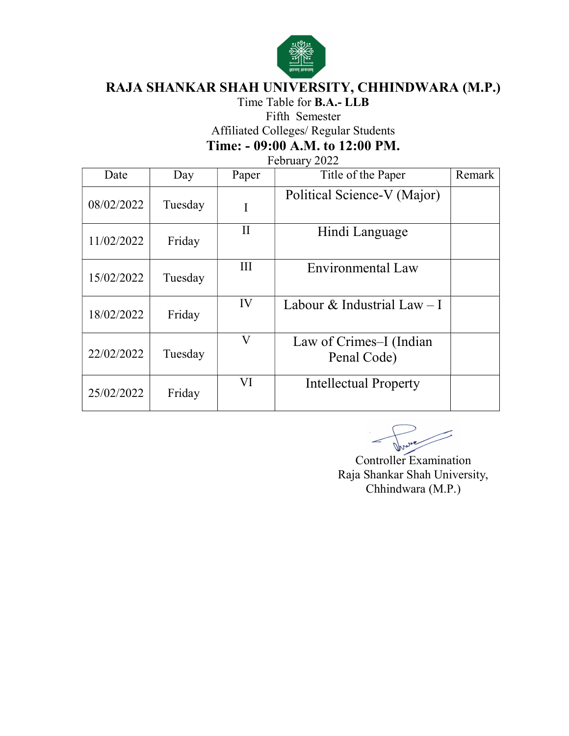

Time Table for **B.A.- LLB**<br>Fifth Semester

Affiliated Colleges/ Regular Students

Time: - 09:00 A.M. to 12:00 PM.

| Date       | Day     | Paper    | Title of the Paper                     | Remark |
|------------|---------|----------|----------------------------------------|--------|
| 08/02/2022 | Tuesday | I        | Political Science-V (Major)            |        |
| 11/02/2022 | Friday  | $\rm II$ | Hindi Language                         |        |
| 15/02/2022 | Tuesday | Ш        | Environmental Law                      |        |
| 18/02/2022 | Friday  | IV       | Labour & Industrial Law $-I$           |        |
| 22/02/2022 | Tuesday | V        | Law of Crimes–I (Indian<br>Penal Code) |        |
| 25/02/2022 | Friday  | VI       | <b>Intellectual Property</b>           |        |

Controller Examination Raja Shankar Shah University, Chhindwara (M.P.)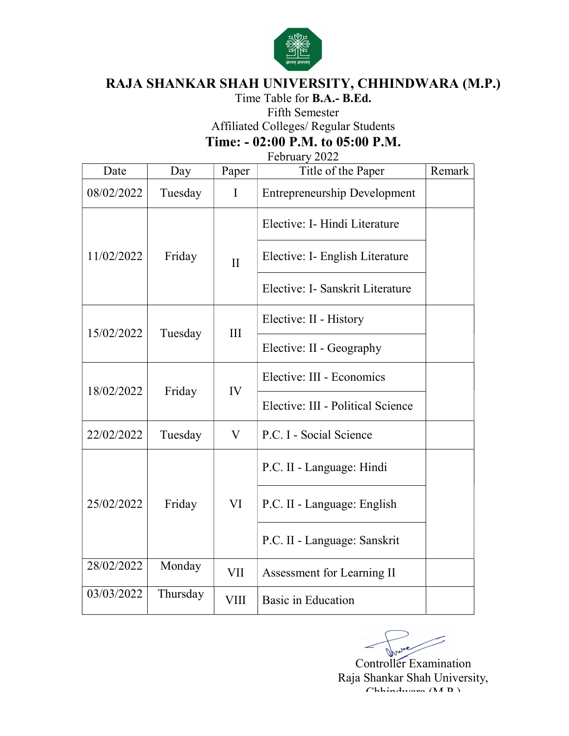

# Time Table for **B.A.- B.Ed.**<br>Fifth Semester Affiliated Colleges/ Regular Students Time: - 02:00 P.M. to 05:00 P.M.

| Date       | Day      | Paper        | Title of the Paper                  | Remark |
|------------|----------|--------------|-------------------------------------|--------|
| 08/02/2022 | Tuesday  | $\mathbf I$  | <b>Entrepreneurship Development</b> |        |
|            | Friday   | $\mathbf{I}$ | Elective: I- Hindi Literature       |        |
| 11/02/2022 |          |              | Elective: I- English Literature     |        |
|            |          |              | Elective: I- Sanskrit Literature    |        |
| 15/02/2022 | Tuesday  | III          | Elective: II - History              |        |
|            |          |              | Elective: II - Geography            |        |
| 18/02/2022 |          | IV           | Elective: III - Economics           |        |
|            | Friday   |              | Elective: III - Political Science   |        |
| 22/02/2022 | Tuesday  | V            | P.C. I - Social Science             |        |
|            | Friday   | VI           | P.C. II - Language: Hindi           |        |
| 25/02/2022 |          |              | P.C. II - Language: English         |        |
|            |          |              | P.C. II - Language: Sanskrit        |        |
| 28/02/2022 | Monday   | <b>VII</b>   | Assessment for Learning II          |        |
| 03/03/2022 | Thursday | <b>VIII</b>  | <b>Basic in Education</b>           |        |

Controller Examination Raja Shankar Shah University, Chhindwara (M.P.)